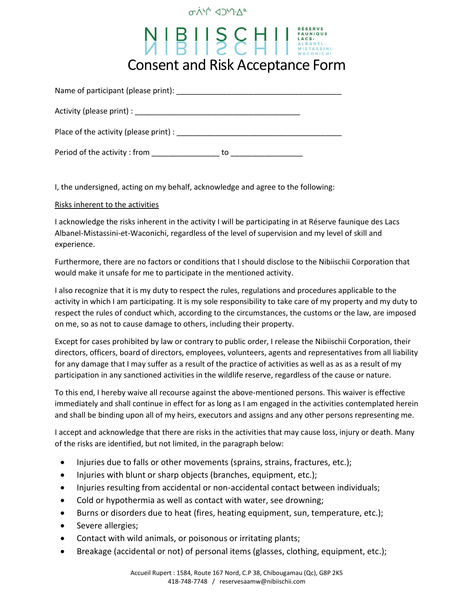### **OVICD JYV-0**

# NIBILSCHILLACS. Consent and Risk Acceptance Form

| Name of participant (please print):                                                                              |    |  |
|------------------------------------------------------------------------------------------------------------------|----|--|
| Activity (please print) : Notice and the set of the set of the set of the set of the set of the set of the set o |    |  |
| Place of the activity (please print) :                                                                           |    |  |
| Period of the activity: from                                                                                     | to |  |

I, the undersigned, acting on my behalf, acknowledge and agree to the following:

#### Risks inherent to the activities

I acknowledge the risks inherent in the activity I will be participating in at Réserve faunique des Lacs Albanel-Mistassini-et-Waconichi, regardless of the level of supervision and my level of skill and experience.

Furthermore, there are no factors or conditions that I should disclose to the Nibiischii Corporation that would make it unsafe for me to participate in the mentioned activity.

I also recognize that it is my duty to respect the rules, regulations and procedures applicable to the activity in which I am participating. It is my sole responsibility to take care of my property and my duty to respect the rules of conduct which, according to the circumstances, the customs or the law, are imposed on me, so as not to cause damage to others, including their property.

Except for cases prohibited by law or contrary to public order, I release the Nibiischii Corporation, their directors, officers, board of directors, employees, volunteers, agents and representatives from all liability for any damage that I may suffer as a result of the practice of activities as well as as as a result of my participation in any sanctioned activities in the wildlife reserve, regardless of the cause or nature.

To this end, I hereby waive all recourse against the above-mentioned persons. This waiver is effective immediately and shall continue in effect for as long as I am engaged in the activities contemplated herein and shall be binding upon all of my heirs, executors and assigns and any other persons representing me.

I accept and acknowledge that there are risks in the activities that may cause loss, injury or death. Many of the risks are identified, but not limited, in the paragraph below:

- Injuries due to falls or other movements (sprains, strains, fractures, etc.);
- Injuries with blunt or sharp objects (branches, equipment, etc.);
- Injuries resulting from accidental or non-accidental contact between individuals;
- Cold or hypothermia as well as contact with water, see drowning;
- Burns or disorders due to heat (fires, heating equipment, sun, temperature, etc.);
- Severe allergies;
- Contact with wild animals, or poisonous or irritating plants;
- Breakage (accidental or not) of personal items (glasses, clothing, equipment, etc.);